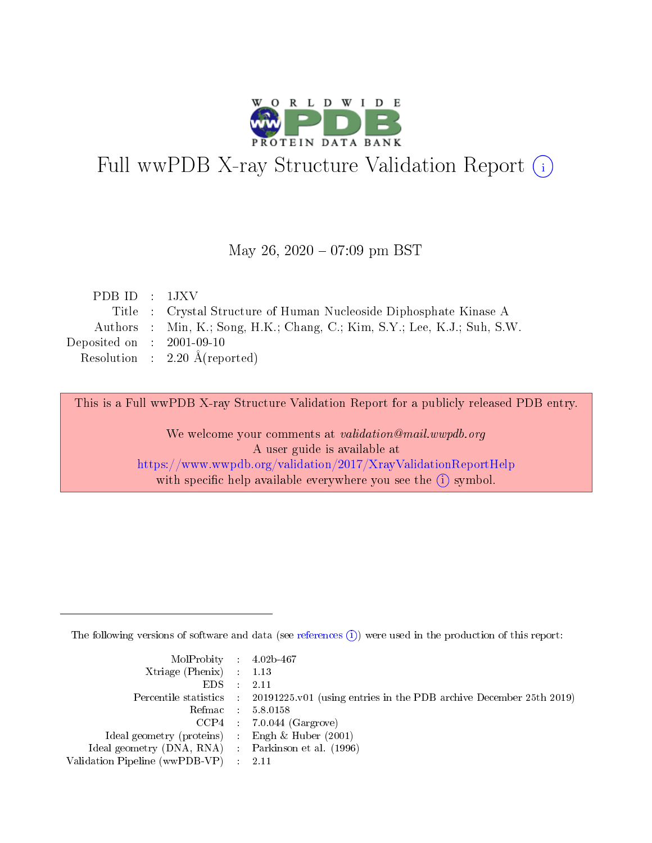

## Full wwPDB X-ray Structure Validation Report (i)

#### May 26,  $2020 - 07:09$  pm BST

| PDBID : 1JXV                                                              |
|---------------------------------------------------------------------------|
| Title : Crystal Structure of Human Nucleoside Diphosphate Kinase A        |
| Authors : Min, K.; Song, H.K.; Chang, C.; Kim, S.Y.; Lee, K.J.; Suh, S.W. |
| Deposited on : $2001-09-10$                                               |
| Resolution : $2.20 \text{ Å}$ (reported)                                  |
|                                                                           |

This is a Full wwPDB X-ray Structure Validation Report for a publicly released PDB entry.

We welcome your comments at validation@mail.wwpdb.org A user guide is available at <https://www.wwpdb.org/validation/2017/XrayValidationReportHelp> with specific help available everywhere you see the  $(i)$  symbol.

The following versions of software and data (see [references](https://www.wwpdb.org/validation/2017/XrayValidationReportHelp#references)  $(i)$ ) were used in the production of this report:

| MolProbity : 4.02b-467                              |                                                                                            |
|-----------------------------------------------------|--------------------------------------------------------------------------------------------|
| Xtriage (Phenix) $: 1.13$                           |                                                                                            |
| $EDS = 2.11$                                        |                                                                                            |
|                                                     | Percentile statistics : 20191225.v01 (using entries in the PDB archive December 25th 2019) |
|                                                     | Refmac : 5.8.0158                                                                          |
|                                                     | $CCP4$ : 7.0.044 (Gargrove)                                                                |
| Ideal geometry (proteins) : Engh $\&$ Huber (2001)  |                                                                                            |
| Ideal geometry (DNA, RNA) : Parkinson et al. (1996) |                                                                                            |
| Validation Pipeline (wwPDB-VP) : 2.11               |                                                                                            |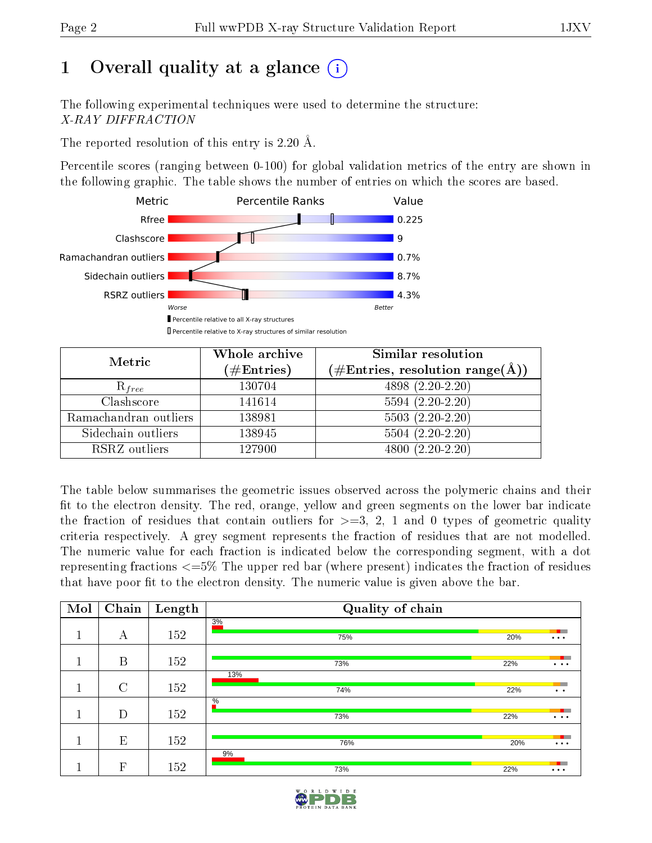### 1 [O](https://www.wwpdb.org/validation/2017/XrayValidationReportHelp#overall_quality)verall quality at a glance  $(i)$

The following experimental techniques were used to determine the structure: X-RAY DIFFRACTION

The reported resolution of this entry is 2.20 Å.

Percentile scores (ranging between 0-100) for global validation metrics of the entry are shown in the following graphic. The table shows the number of entries on which the scores are based.



| Metric                | Whole archive        | Similar resolution<br>$(\#\text{Entries},\,\text{resolution}\,\,\text{range}(\textup{\AA}))$ |  |
|-----------------------|----------------------|----------------------------------------------------------------------------------------------|--|
|                       | $(\#\text{Entries})$ |                                                                                              |  |
| $R_{free}$            | 130704               | $4898(2.20-2.20)$                                                                            |  |
| Clashscore            | 141614               | $5594(2.20-2.20)$                                                                            |  |
| Ramachandran outliers | 138981               | $5503(2.20-2.20)$                                                                            |  |
| Sidechain outliers    | 138945               | $5504(2.20-2.20)$                                                                            |  |
| RSRZ outliers         | 127900               | $4800(2.20-2.20)$                                                                            |  |

The table below summarises the geometric issues observed across the polymeric chains and their fit to the electron density. The red, orange, yellow and green segments on the lower bar indicate the fraction of residues that contain outliers for  $>=3, 2, 1$  and 0 types of geometric quality criteria respectively. A grey segment represents the fraction of residues that are not modelled. The numeric value for each fraction is indicated below the corresponding segment, with a dot representing fractions  $\epsilon=5\%$  The upper red bar (where present) indicates the fraction of residues that have poor fit to the electron density. The numeric value is given above the bar.

| Mol          | Chain          | Length | Quality of chain     |     |                                   |
|--------------|----------------|--------|----------------------|-----|-----------------------------------|
| ш            | А              | 152    | 3%<br>75%            | 20% | $\cdots$                          |
| ш            | B              | 152    | 73%                  | 22% | $\cdots$                          |
| $\mathbf{I}$ | $\overline{C}$ | 152    | 13%<br>74%           | 22% | $\bullet$ $\bullet$               |
| п<br>a di    | D              | 152    | $\frac{0}{6}$<br>73% | 22% | $\bullet\quad\bullet\quad\bullet$ |
|              | E              | 152    | 76%                  | 20% | $\cdots$                          |
|              | $\mathbf{F}$   | 152    | 9%<br>73%            | 22% | $\cdots$                          |

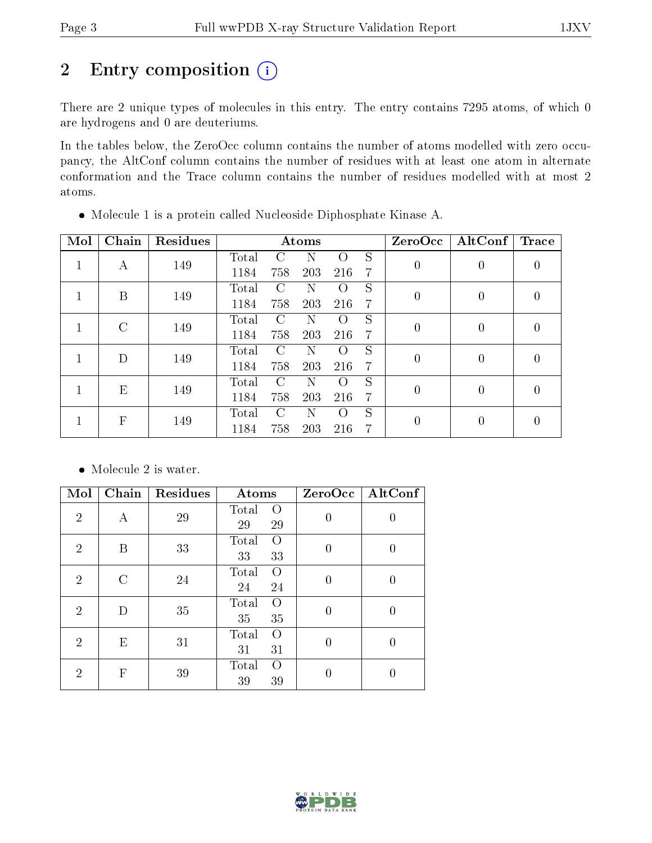### 2 Entry composition (i)

There are 2 unique types of molecules in this entry. The entry contains 7295 atoms, of which 0 are hydrogens and 0 are deuteriums.

In the tables below, the ZeroOcc column contains the number of atoms modelled with zero occupancy, the AltConf column contains the number of residues with at least one atom in alternate conformation and the Trace column contains the number of residues modelled with at most 2 atoms.

| Mol | Chain                     | Residues |       |               | Atoms |                    |                | ZeroOcc  | $\operatorname{AltConf}$ | Trace            |
|-----|---------------------------|----------|-------|---------------|-------|--------------------|----------------|----------|--------------------------|------------------|
|     | А                         | 149      | Total | C             | Ν     | $\Omega$           | S              | $\theta$ | $\theta$                 | $\left( \right)$ |
|     |                           |          | 1184  | 758           | 203   | 216                | 7              |          |                          |                  |
|     | B                         | 149      | Total | $\mathcal{C}$ | N     | $\left( \ \right)$ | S              | $\theta$ | $\left($                 |                  |
|     |                           |          | 1184  | 758           | 203   | 216                | $\overline{7}$ |          |                          |                  |
|     | $\mathcal{C}$             | 149      | Total | $\cap$        | Ν     | $\left( \right)$   | S              |          | $\theta$                 |                  |
|     |                           |          | 1184  | 758           | 203   | 216                | $\overline{7}$ | 0        |                          |                  |
|     | D                         | 149      | Total | $\mathcal{C}$ | Ν     | $\left( \right)$   | S              | $\theta$ | $\theta$                 |                  |
|     |                           |          | 1184  | 758           | 203   | 216                | 7              |          |                          |                  |
|     | E                         | 149      | Total | $\mathcal{C}$ | Ν     | $\left( \ \right)$ | S              | $\theta$ | $\theta$                 |                  |
|     |                           |          | 1184  | 758           | 203   | 216                | 7              |          |                          |                  |
|     | $\boldsymbol{\mathrm{F}}$ | 149      | Total | $\cap$        | N     | $\left( \right)$   | S              | 0        |                          |                  |
|     |                           |          | 1184  | 758           | 203   | 216                | 7              |          |                          |                  |

Molecule 1 is a protein called Nucleoside Diphosphate Kinase A.

• Molecule 2 is water.

| Mol            | Chain                     | Residues | Atoms                                 | ZeroOcc        | AltConf |
|----------------|---------------------------|----------|---------------------------------------|----------------|---------|
| $\overline{2}$ | А                         | 29       | Total<br>$\left( \right)$<br>29<br>29 | $\theta$       | 0       |
| $\overline{2}$ | B                         | 33       | Total<br>$\Omega$<br>33<br>33         | 0              | 0       |
| $\overline{2}$ | $\cap$                    | 24       | Total<br>$\left( \right)$<br>24<br>24 | $\theta$       | 0       |
| $\overline{2}$ | D                         | 35       | Total<br>$\Omega$<br>35<br>35         | $\theta$       | 0       |
| $\overline{2}$ | E                         | 31       | Total<br>$\Omega$<br>31<br>31         | $\overline{0}$ | 0       |
| 2              | $\boldsymbol{\mathrm{F}}$ | 39       | Total<br>$\left( \right)$<br>39<br>39 |                |         |

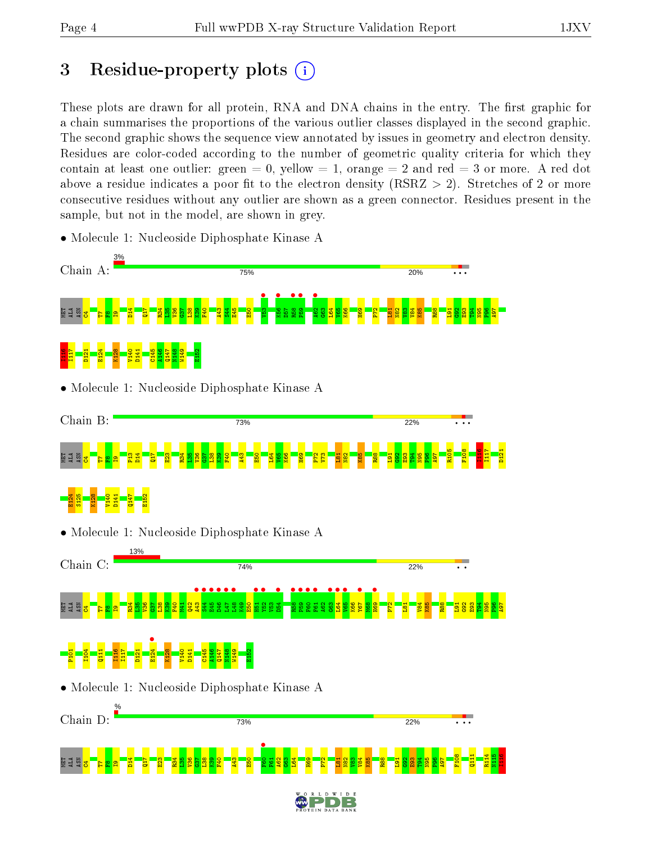E124 S125 K128 V140 D141 Q147 E152

### 3 Residue-property plots  $(i)$

These plots are drawn for all protein, RNA and DNA chains in the entry. The first graphic for a chain summarises the proportions of the various outlier classes displayed in the second graphic. The second graphic shows the sequence view annotated by issues in geometry and electron density. Residues are color-coded according to the number of geometric quality criteria for which they contain at least one outlier: green  $= 0$ , yellow  $= 1$ , orange  $= 2$  and red  $= 3$  or more. A red dot above a residue indicates a poor fit to the electron density (RSRZ  $> 2$ ). Stretches of 2 or more consecutive residues without any outlier are shown as a green connector. Residues present in the sample, but not in the model, are shown in grey.

- Chain A: 75% 20% **•**<br>V53 K56 • •<br>ಜಂ **•**<br>P59  $\frac{1}{2}$ <mark>ad Fe</mark>ta D14  $\frac{17}{11}$ R34  $\frac{8}{2}$  $\frac{8}{2}$  $\frac{57}{2}$  $\frac{8}{1}$  $\frac{8}{2}$  $\frac{1}{2}$  $\frac{43}{4}$  $\frac{44}{3}$ E45  $\frac{5}{2}$  $\overline{50}$  $\frac{3}{5}$ L64  $\frac{1}{2}$ K66 H69  $\mathbb{P}^2$  $\frac{51}{2}$ N82  $\frac{3}{2}$  $\frac{184}{18}$ K85 R88  $\frac{1}{2}$  $\frac{8}{2}$ E93 T94 N95  $\frac{8}{2}$ A97  $\mathbf{e}$ E124  $\frac{12}{11}$ I117 D121 K128 V140 D141  $\frac{45}{11}$ A146 Q147  $\frac{48}{2}$ W149 E152 • Molecule 1: Nucleoside Diphosphate Kinase A Chain B: 73% 22% R105 F108 I116 I117 D121 <mark>ad Fe</mark>ta P13 D14  $\overline{H}$ E23 R34  $\frac{8}{3}$  $\frac{8}{2}$  $\frac{57}{2}$  $\frac{8}{1}$  $\frac{8}{2}$ F40  $\frac{43}{4}$  $\frac{5}{2}$ L64  $\frac{1}{2}$ K66 H69 P72  $\mathbb{Z}^2$  $\frac{51}{2}$  $\frac{82}{2}$ K85  $\frac{1}{2}$  $\frac{1}{2}$  $\frac{8}{2}$ E93 T94 N95  $\frac{8}{2}$  $\overline{198}$  $\mathbf{e}$
- Molecule 1: Nucleoside Diphosphate Kinase A

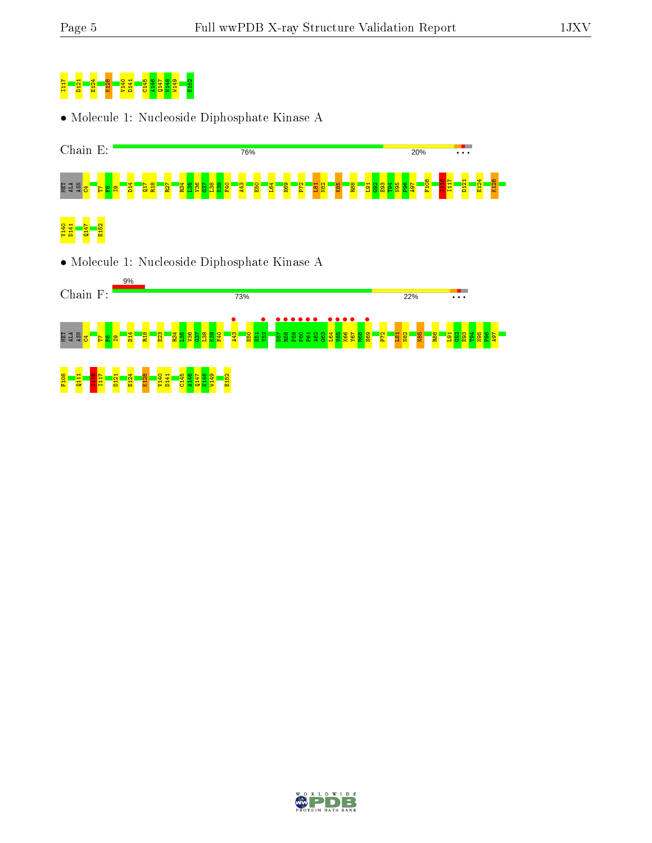# I117 D121 E124 K128 V140 D141 C145 A146 Q147 N148 W149 E152

• Molecule 1: Nucleoside Diphosphate Kinase A



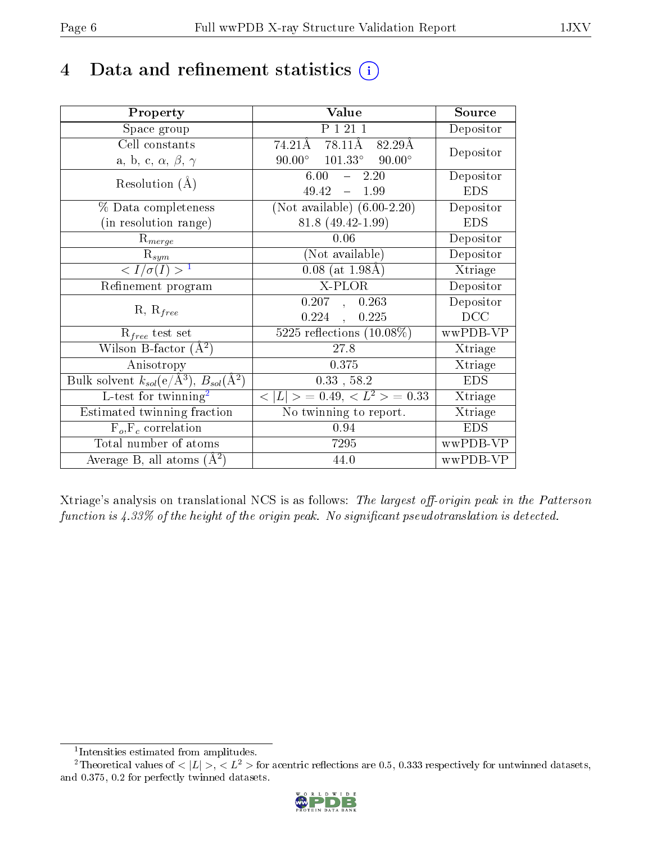### 4 Data and refinement statistics  $(i)$

| Property                                                         | Value                                            | Source     |
|------------------------------------------------------------------|--------------------------------------------------|------------|
| Space group                                                      | P 1 21 1                                         | Depositor  |
| Cell constants                                                   | 74.21Å 78.11Å<br>82.29Å                          | Depositor  |
| a, b, c, $\alpha$ , $\beta$ , $\gamma$                           | $90.00^{\circ}$ $101.33^{\circ}$ $90.00^{\circ}$ |            |
| Resolution $(A)$                                                 | 6.00<br>2.20<br>$\frac{1}{2}$                    | Depositor  |
|                                                                  | 49.42<br>$-1.99$                                 | <b>EDS</b> |
| % Data completeness                                              | (Not available) $(6.00-2.20)$                    | Depositor  |
| (in resolution range)                                            | 81.8 (49.42-1.99)                                | <b>EDS</b> |
| $R_{merge}$                                                      | 0.06                                             | Depositor  |
| $\mathrm{R}_{sym}$                                               | (Not available)                                  | Depositor  |
| $\langle I/\sigma(I) \rangle^{-1}$                               | $0.08$ (at 1.98Å)                                | Xtriage    |
| Refinement program                                               | X-PLOR                                           | Depositor  |
|                                                                  | 0.207, 0.263                                     | Depositor  |
| $R, R_{free}$                                                    | $0.224$ ,<br>0.225                               | DCC        |
| $R_{free}$ test set                                              | 5225 reflections $(10.08\%)$                     | wwPDB-VP   |
| Wilson B-factor $(A^2)$                                          | 27.8                                             | Xtriage    |
| Anisotropy                                                       | 0.375                                            | Xtriage    |
| Bulk solvent $k_{sol}(\text{e}/\text{A}^3), B_{sol}(\text{A}^2)$ | $0.33$ , 58.2                                    | <b>EDS</b> |
| L-test for $\mathrm{twinning}^2$                                 | $< L >$ = 0.49, $< L2$ = 0.33                    | Xtriage    |
| Estimated twinning fraction                                      | No twinning to report.                           | Xtriage    |
| $F_o, F_c$ correlation                                           | 0.94                                             | <b>EDS</b> |
| Total number of atoms                                            | 7295                                             | wwPDB-VP   |
| Average B, all atoms $(A^2)$                                     | 44.0                                             | wwPDB-VP   |

Xtriage's analysis on translational NCS is as follows: The largest off-origin peak in the Patterson function is  $4.33\%$  of the height of the origin peak. No significant pseudotranslation is detected.

<sup>&</sup>lt;sup>2</sup>Theoretical values of  $\langle |L| \rangle$ ,  $\langle L^2 \rangle$  for acentric reflections are 0.5, 0.333 respectively for untwinned datasets, and 0.375, 0.2 for perfectly twinned datasets.



<span id="page-5-1"></span><span id="page-5-0"></span><sup>1</sup> Intensities estimated from amplitudes.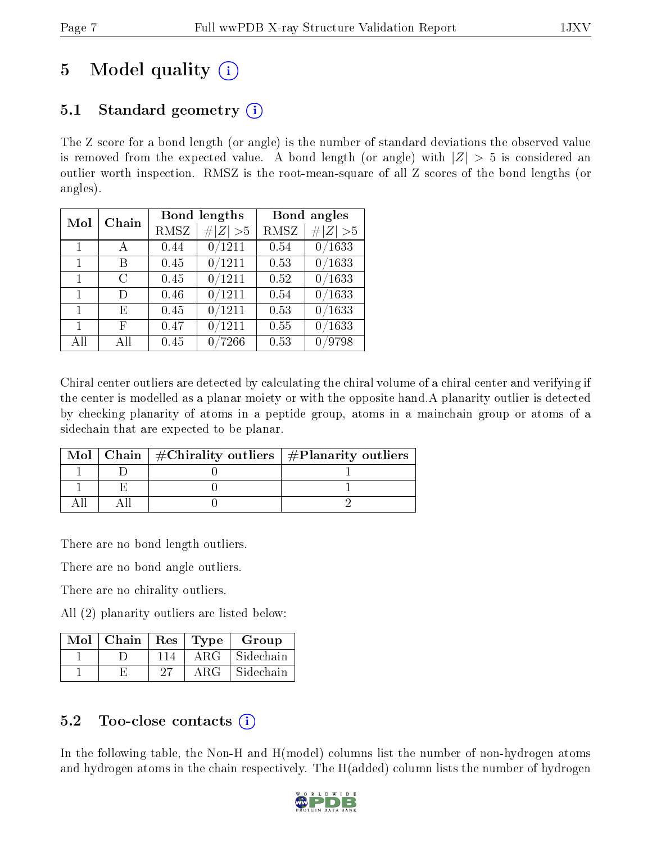### 5 Model quality  $(i)$

### 5.1 Standard geometry  $\overline{()}$

The Z score for a bond length (or angle) is the number of standard deviations the observed value is removed from the expected value. A bond length (or angle) with  $|Z| > 5$  is considered an outlier worth inspection. RMSZ is the root-mean-square of all Z scores of the bond lengths (or angles).

| Mol          | Chain |             | <b>Bond lengths</b> |      | Bond angles |
|--------------|-------|-------------|---------------------|------|-------------|
|              |       | <b>RMSZ</b> | # $ Z  > 5$         | RMSZ | # $ Z  > 5$ |
| $\mathbf{1}$ |       | 0.44        | 0/1211              | 0.54 | 0/1633      |
| $\mathbf{1}$ | В     | 0.45        | 0/1211              | 0.53 | 0/1633      |
| $\mathbf 1$  | С     | 0.45        | 0/1211              | 0.52 | 0/1633      |
| 1            | D)    | 0.46        | 0/1211              | 0.54 | 0/1633      |
| $\mathbf{1}$ | F,    | 0.45        | 0/1211              | 0.53 | 0/1633      |
| 1            | F     | 0.47        | 0/1211              | 0.55 | /1633<br>0  |
| All          | АH    | 0.45        | $^{\prime}7266$     | 0.53 | /9798       |

Chiral center outliers are detected by calculating the chiral volume of a chiral center and verifying if the center is modelled as a planar moiety or with the opposite hand.A planarity outlier is detected by checking planarity of atoms in a peptide group, atoms in a mainchain group or atoms of a sidechain that are expected to be planar.

|  | Mol   Chain   $\#\text{Chirality outliers}$   $\#\text{Planarity outliers}$ |  |
|--|-----------------------------------------------------------------------------|--|
|  |                                                                             |  |
|  |                                                                             |  |
|  |                                                                             |  |

There are no bond length outliers.

There are no bond angle outliers.

There are no chirality outliers.

All (2) planarity outliers are listed below:

| $\operatorname{Mol}$ | $\mid$ Chain | $\parallel$ Res | Type       | Group     |
|----------------------|--------------|-----------------|------------|-----------|
|                      |              | 114             | $\rm{ARG}$ | Sidechain |
|                      |              | 27              | A R G      | Sidechain |

#### 5.2 Too-close contacts  $(i)$

In the following table, the Non-H and H(model) columns list the number of non-hydrogen atoms and hydrogen atoms in the chain respectively. The H(added) column lists the number of hydrogen

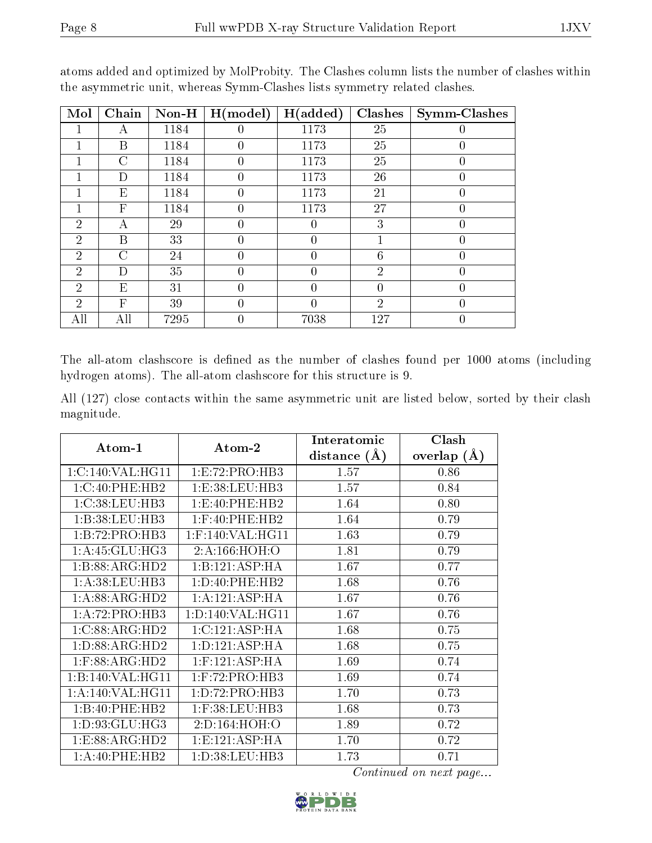| Mol            | Chain                     | $Non-H$ | H (model) | H(added) | Clashes        | Symm-Clashes |
|----------------|---------------------------|---------|-----------|----------|----------------|--------------|
|                | Α                         | 1184    |           | 1173     | 25             | 0            |
| 1              | B                         | 1184    | $\theta$  | 1173     | 25             | 0            |
|                | $\mathcal{C}$             | 1184    | $\theta$  | 1173     | 25             | 0            |
|                | D                         | 1184    | $\theta$  | 1173     | 26             | 0            |
|                | E                         | 1184    |           | 1173     | 21             | 0            |
|                | $\boldsymbol{\mathrm{F}}$ | 1184    | $\theta$  | 1173     | 27             | 0            |
| $\overline{2}$ | А                         | 29      | $\theta$  |          | 3              | 0            |
| $\overline{2}$ | B                         | 33      |           | 0        |                | 0            |
| $\overline{2}$ | С                         | 24      | $\Omega$  | $\theta$ | 6              | 0            |
| $\overline{2}$ | D                         | 35      |           |          | $\overline{2}$ | 0            |
| $\overline{2}$ | E                         | 31      | $\theta$  | $\theta$ | $\theta$       | 0            |
| $\overline{2}$ | F                         | 39      |           |          | $\overline{2}$ | 0            |
| All            | All                       | 7295    | 0         | 7038     | 127            | 0            |

atoms added and optimized by MolProbity. The Clashes column lists the number of clashes within the asymmetric unit, whereas Symm-Clashes lists symmetry related clashes.

The all-atom clashscore is defined as the number of clashes found per 1000 atoms (including hydrogen atoms). The all-atom clashscore for this structure is 9.

All (127) close contacts within the same asymmetric unit are listed below, sorted by their clash magnitude.

|                    |                     | Interatomic    | Clash           |
|--------------------|---------------------|----------------|-----------------|
| $Atom-1$           | Atom-2              | distance $(A)$ | overlap $(\AA)$ |
| 1:C:140:VAL:HG11   | 1:E:72:PRO:HB3      | 1.57           | 0.86            |
| 1:C:40:PHE:HB2     | 1: E: 38: LEU: HB3  | 1.57           | 0.84            |
| 1:C:38:LEU:HB3     | 1:E:40:PHE:HB2      | 1.64           | 0.80            |
| 1:B:38:LEU:HB3     | $1:$ F:40:PHE:HB2   | 1.64           | 0.79            |
| 1:B:72:PRO:HB3     | $1:$ F:140:VAL:HG11 | 1.63           | 0.79            |
| 1:A:45:GLU:HG3     | 2:A:166:HOH:O       | 1.81           | 0.79            |
| 1:B:88:ARG:HD2     | 1:B:121:ASP:HA      | 1.67           | 0.77            |
| 1: A:38:LEU:HB3    | 1: D: 40: PHE: HB2  | 1.68           | 0.76            |
| 1: A:88: ARG:HD2   | 1:A:121:ASP:HA      | 1.67           | 0.76            |
| 1:A:72:PRO:HB3     | 1: D: 140: VAL:HGI1 | 1.67           | 0.76            |
| 1:C:88:ARG:HD2     | 1: C: 121: ASP: HA  | 1.68           | 0.75            |
| 1: D: 88: ARG: HD2 | 1: D: 121: ASP: HA  | 1.68           | 0.75            |
| $1:$ F:88:ARG:HD2  | $1:$ F:121:ASP:HA   | 1.69           | 0.74            |
| 1:B:140:VAL:HG11   | $1:$ F:72:PRO:HB3   | 1.69           | 0.74            |
| 1:A:140:VAL:HG11   | 1:D:72:PRO:HB3      | 1.70           | 0.73            |
| 1:B:40:PHE:HB2     | $1:$ F:38:LEU:HB3   | 1.68           | 0.73            |
| 1: D: 93: GLU: HG3 | 2:D:164:HOH:O       | 1.89           | 0.72            |
| 1: E: 88: ARG: HD2 | 1: E: 121: ASP: HA  | 1.70           | 0.72            |
| 1: A:40: PHE:HB2   | 1: D: 38: LEU: HB3  | 1.73           | 0.71            |

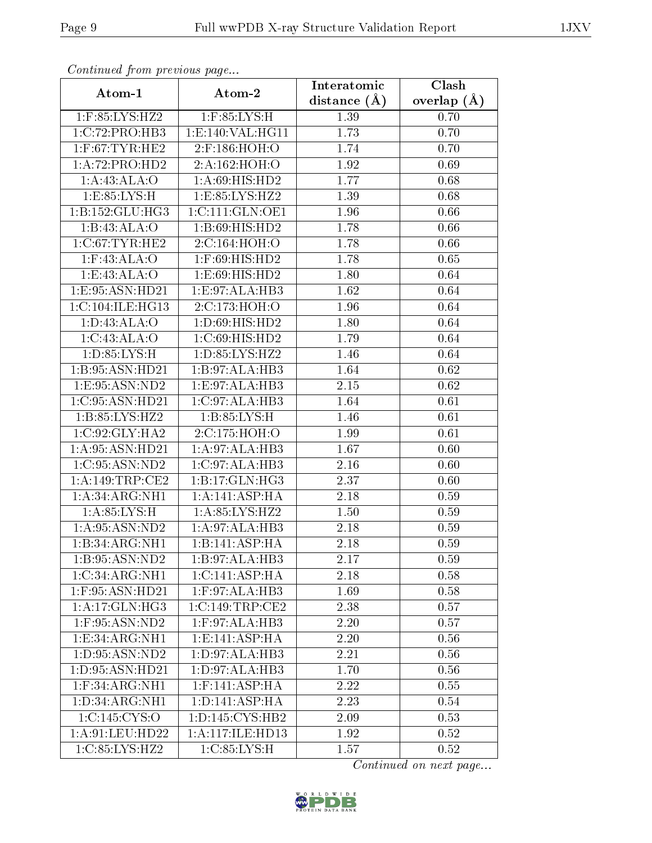| Continuation providus page     |                                              | Interatomic    | $\overline{\text{Cl}}$ ash |
|--------------------------------|----------------------------------------------|----------------|----------------------------|
| Atom-1                         | Atom-2                                       | distance $(A)$ | overlap $(\AA)$            |
| 1:F:85:LYS:HZ2                 | $1:$ F:85:LYS:H                              | 1.39           | 0.70                       |
| 1:C:72:PRO:HB3                 | 1: E: 140: VAL: HG11                         | 1.73           | 0.70                       |
| $1:$ F:67:TYR:HE2              | 2:F:186:HOH:O                                | 1.74           | 0.70                       |
| 1:A:72:PRO:HD2                 | 2:A:162:HOH:O                                | 1.92           | 0.69                       |
| 1:A:43:ALA:O                   | 1:A:69:HIS:HD2                               | 1.77           | 0.68                       |
| 1: E: 85: LYS: H               | 1:E:85:LYS:HZ2                               | 1.39           | 0.68                       |
| 1:B:152:GLU:HG3                | 1:C:111:GLN:OE1                              | 1.96           | 0.66                       |
| 1:B:43:ALA:O                   | 1:B:69:HIS:HD2                               | 1.78           | 0.66                       |
| $1:C:67$ : TYR: HE2            | 2:C:164:HOH:O                                | 1.78           | 0.66                       |
| $1:$ F:43:ALA:O                | 1:F:69:HIS:HD2                               | 1.78           | 0.65                       |
| 1:E:43:ALA:O                   | 1:E:69:HIS:HD2                               | 1.80           | 0.64                       |
| 1:E:95:ASN:HD21                | 1:E:97:ALA:HB3                               | 1.62           | 0.64                       |
| 1:C:104:ILE:HG13               | 2:C:173:HOH:O                                | 1.96           | 0.64                       |
| 1: D:43: ALA:O                 | 1:D:69:HIS:HD2                               | 1.80           | 0.64                       |
| 1:C:43:ALA:O                   | 1:C:69:HIS:HD2                               | 1.79           | 0.64                       |
| 1: D: 85: LYS:H                | 1:D:85:LYS:HZ2                               | 1.46           | 0.64                       |
| 1:B:95:ASN:HD21                | 1:B:97:ALA:HB3                               | 1.64           | 0.62                       |
| 1:E:95:ASN:ND2                 | 1:E:97:ALA:HB3                               | 2.15           | 0.62                       |
| 1:C:95:ASN:HD21                | 1:C:97:ALA:HB3                               | 1.64           | 0.61                       |
| 1:B:85:LYS:HZ2                 | 1: B:85: LYS:H                               | 1.46           | 0.61                       |
| 1:C:92:GLY:HA2                 | 2:C:175:HOH:O                                | 1.99           | 0.61                       |
| 1: A:95:ASN:HD21               | 1:A:97:ALA:HB3                               | 1.67           | 0.60                       |
| 1:C:95:ASN:ND2                 | 1:C:97:ALA:HB3                               | 2.16           | 0.60                       |
| 1:A:149:TRP:CE2                | 1:B:17:GLN:HG3                               | 2.37           | 0.60                       |
| 1: A:34: ARG:NH1               | 1:A:141:ASP:HA                               | 2.18           | 0.59                       |
| 1: A:85:LYS:H                  | 1:A:85:LYS:HZ2                               | 1.50           | 0.59                       |
| 1: A:95: ASN:ND2               | 1:A:97:ALA:HB3                               | 2.18           | 0.59                       |
| 1:B:34:ARG:NH1                 | 1:B:141:ASP:HA                               | 2.18           | 0.59                       |
| 1:B:95:ASN:ND2                 | 1:B:97:ALA:HB3                               | 2.17           | 0.59                       |
| 1:C:34:ARG:NH1                 | 1: C:141: ASP:HA                             | 2.18           | 0.58                       |
| 1:F:95:ASN:HD21                | 1:F:97:ALA:HB3                               | 1.69           | 0.58                       |
| 1:A:17:GLN:HG3                 | 1:C:149:TRP:CE2                              | 2.38           | 0.57                       |
| $1:$ F:95:ASN:ND2              | 1:F:97:ALA:HB3                               | 2.20           | 0.57                       |
| 1:E:34:ARG:NH1                 | $1: E: 141: \overline{\text{ASP}:\text{HA}}$ | 2.20           | 0.56                       |
| 1:D:95:ASN:ND2                 | 1:D:97:ALA:HB3                               | 2.21           | 0.56                       |
| $1: D:95: A\overline{SN:HD21}$ | $1: D:97: ALA: \overline{HB3}$               | 1.70           | 0.56                       |
| $1:$ F:34:ARG:NH $1$           | $1:$ F:141:ASP:HA                            | 2.22           | 0.55                       |
| 1: D: 34: ARG: NH1             | 1: D: 141: ASP: HA                           | 2.23           | 0.54                       |
| 1:C:145:CYS:O                  | 1: D: 145: CYS: HB2                          | 2.09           | 0.53                       |
| 1: A:91: LEU: HD22             | 1:A:117:ILE:HD13                             | 1.92           | 0.52                       |
| 1:C:85:LYS:HZ2                 | 1:C:85:LYS:H                                 | 1.57           | 0.52                       |

Continued from previous page.

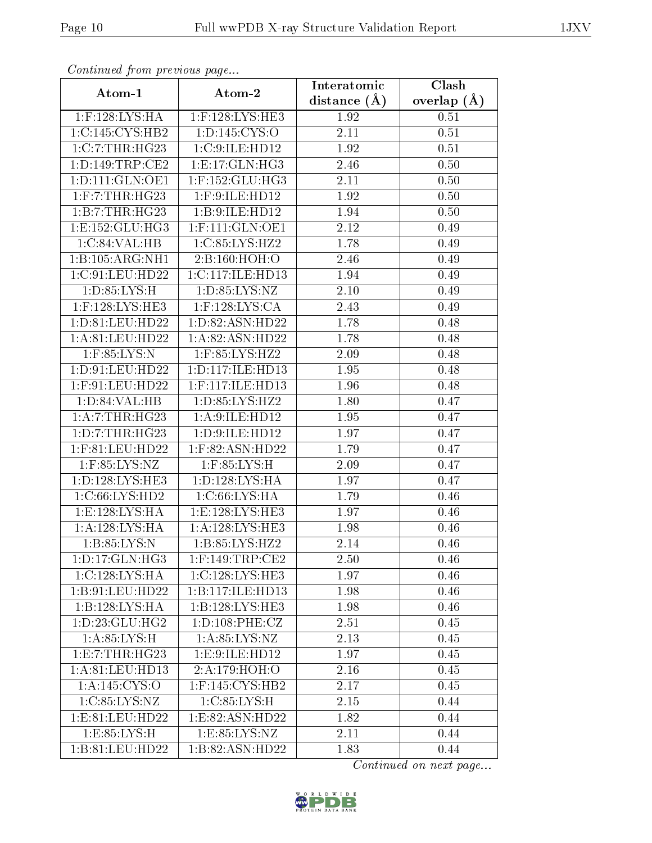| Commune from previous page |                        | Interatomic    | Clash         |
|----------------------------|------------------------|----------------|---------------|
| Atom-1                     | Atom-2                 | distance $(A)$ | overlap $(A)$ |
| $1:$ F:128:LYS:HA          | 1:F:128:LYS:HE3        | 1.92           | 0.51          |
| 1:C:145:CYS:HB2            | 1: D: 145: CYS:O       | 2.11           | 0.51          |
| 1:C:7:THR:HG23             | 1:C:9:ILE:HD12         | 1.92           | 0.51          |
| 1: D: 149: TRP: CE2        | 1: E: 17: GLN: HG3     | 2.46           | 0.50          |
| 1: D: 111: GLN: OE1        | $1:$ F:152: $GLU$ :HG3 | 2.11           | 0.50          |
| $1:$ F:7:THR:HG23          | 1:F:9:ILE:HD12         | 1.92           | 0.50          |
| 1:B:7:THR:HG23             | 1:B:9:ILE:HD12         | 1.94           | 0.50          |
| 1:E:152:GLU:HG3            | $1:$ F:111:GLN:OE1     | 2.12           | 0.49          |
| 1:C:84:VAL:HB              | 1:C:85:LYS:HZ2         | 1.78           | 0.49          |
| 1:B:105:ARG:NH1            | 2:B:160:HOH:O          | 2.46           | 0.49          |
| 1:C:91:LEU:HD22            | 1:C:117:ILE:HD13       | 1.94           | 0.49          |
| 1:D:85:LYS:H               | 1: D: 85: LYS: NZ      | 2.10           | 0.49          |
| $1:$ F:128:LYS:HE3         | $1:$ F:128:LYS:CA      | 2.43           | 0.49          |
| 1: D: 81: LEU: HD22        | 1:D:82:ASN:HD22        | 1.78           | 0.48          |
| 1: A:81: LEU:HD22          | 1:A:82:ASN:HD22        | 1.78           | 0.48          |
| 1:F:85:LYS:N               | 1:F:85:LYS:HZ2         | 2.09           | 0.48          |
| 1:D:91:LEU:HD22            | 1: D: 117: ILE: HD13   | 1.95           | 0.48          |
| $1:$ F:91:LEU:HD22         | 1:F:117:ILE:HD13       | 1.96           | 0.48          |
| 1:D:84:VAL:HB              | 1:D:85:LYS:HZ2         | 1.80           | 0.47          |
| 1: A: 7:THR: HG23          | 1:A:9:ILE:HD12         | 1.95           | 0.47          |
| 1: D: 7: THR: HG23         | 1:D:9:ILE:HD12         | 1.97           | 0.47          |
| $1:$ F:81:LEU:HD22         | $1:$ F:82:ASN:HD22     | 1.79           | 0.47          |
| $1:$ F:85:LYS:NZ           | $1:$ F:85:LYS:H        | 2.09           | 0.47          |
| 1:D:128:LYS:HE3            | 1: D: 128: LYS: HA     | 1.97           | 0.47          |
| 1:C:66:LYS:HD2             | 1: C:66: LYS: HA       | 1.79           | 0.46          |
| 1: E: 128: LYS: HA         | 1:E:128:LYS:HE3        | 1.97           | 0.46          |
| 1:A:128:LYS:HA             | 1: A:128: LYS: HE3     | 1.98           | 0.46          |
| 1: B: 85: LYS: N           | 1:B:85:LYS:HZ2         | 2.14           | 0.46          |
| 1:D:17:GLN:HG3             | $1:$ F:149:TRP:CE2     | 2.50           | 0.46          |
| 1:C:128:LYS:HA             | 1:C:128:LYS:HE3        | 1.97           | 0.46          |
| 1:B:91:LEU:HD22            | 1:B:117:ILE:HD13       | 1.98           | 0.46          |
| 1:B:128:LYS:HA             | 1:B:128:LYS:HE3        | 1.98           | 0.46          |
| 1: D: 23: GLU: HG2         | 1: D: 108: PHE: CZ     | 2.51           | 0.45          |
| 1: A:85:LYS:H              | 1: A:85: LYS: NZ       | 2.13           | 0.45          |
| 1: E: 7: THR: HG23         | 1:E:9:ILE:HD12         | 1.97           | 0.45          |
| 1: A:81: LEU: HD13         | 2:A:179:HOH:O          | 2.16           | 0.45          |
| 1: A:145:CYS:0             | $1:$ F:145:CYS:HB2     | 2.17           | 0.45          |
| 1:C:85:LYS:NZ              | 1: C:85: LYS:H         | 2.15           | 0.44          |
| 1: E: 81: LEU: HD22        | 1:E:82:ASN:HD22        | 1.82           | 0.44          |
| 1:E:85:LYS:H               | 1: E: 85: LYS: NZ      | 2.11           | 0.44          |
| 1:B:81:LEU:HD22            | 1:B:82:ASN:HD22        | 1.83           | 0.44          |

Continued from previous page.

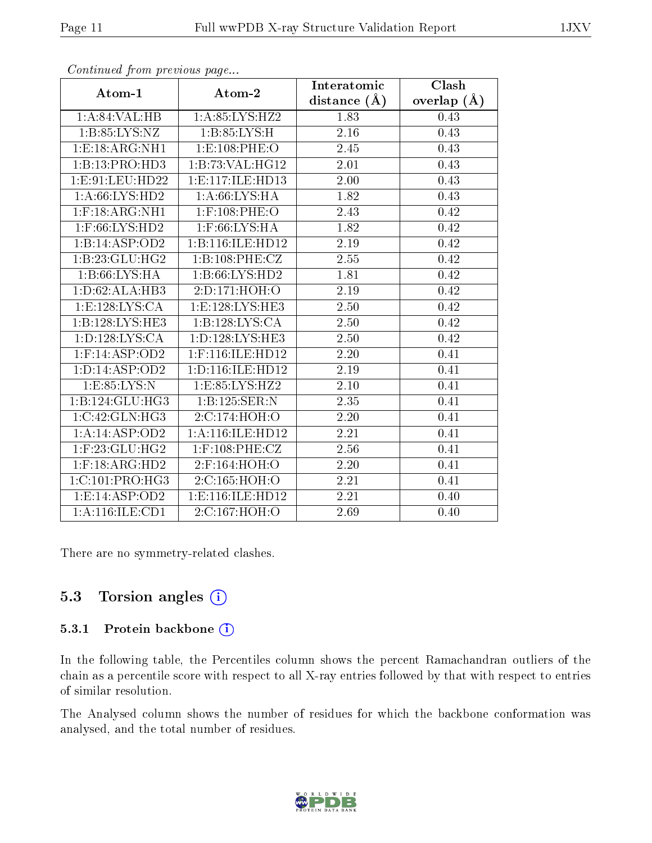| $\sum_{i=1}^{n} a_i$                |                               | Interatomic       | Clash           |  |
|-------------------------------------|-------------------------------|-------------------|-----------------|--|
| Atom-1                              | Atom-2                        | distance $(A)$    | overlap $(\AA)$ |  |
| 1: A:84:VAL:HB                      | 1: A:85: LYS: H <sub>Z2</sub> | 1.83              | 0.43            |  |
| 1: B: 85: LYS: NZ                   | 1: B:85: LYS:H                | $\overline{2.16}$ | 0.43            |  |
| 1: E: 18: ARG: NH1                  | 1:E:108:PHE:O                 | 2.45              | 0.43            |  |
| 1:B:13:PRO:HD3                      | 1:B:73:VAL:HG12               | 2.01              | 0.43            |  |
| 1:E:91:LEU:HD22                     | 1: E: 117: ILE: HD13          | 2.00              | 0.43            |  |
| 1: A:66: LYS:HD2                    | 1: A:66: LYS: HA              | 1.82              | 0.43            |  |
| $1:$ F:18: $ARG:NH1$                | $1:$ F:108:PHE:O              | 2.43              | 0.42            |  |
| $1:$ F:66:LYS:HD2                   | $1:$ F:66:LYS:HA              | 1.82              | 0.42            |  |
| 1:B:14:ASP:OD2                      | 1:B:116:ILE:HD12              | 2.19              | 0.42            |  |
| 1:B:23:GLU:HG2                      | 1:B:108:PHE:CZ                | 2.55              | 0.42            |  |
| 1:B:66:LYS:HA                       | 1:B:66:LYS:HD2                | 1.81              | 0.42            |  |
| 1:D:62:ALA:HB3                      | 2:D:171:HOH:O                 | 2.19              | 0.42            |  |
| 1:E:128:LYS:CA                      | 1: E: 128: LYS: HE3           | 2.50              | 0.42            |  |
| 1:B:128:LYS:HE3                     | 1:B:128:LYS:CA                | 2.50              | 0.42            |  |
| $1: D: 128: LYS: \overline{CA}$     | 1: D: 128: LYS: HE3           | 2.50              | 0.42            |  |
| $1:$ F:14:ASP:OD2                   | $1:$ F:116:ILE:HD12           | 2.20              | 0.41            |  |
| 1: D: 14: ASP: OD2                  | 1:D:116:ILE:HD12              | 2.19              | 0.41            |  |
| 1: E:85: LYS:N                      | 1:E:85:LYS:HZ2                | 2.10              | 0.41            |  |
| 1:B:124:GLU:HG3                     | 1:B:125:SER:N                 | 2.35              | 0.41            |  |
| 1:C:42:GLN:HG3                      | 2:C:174:HOH:O                 | 2.20              | 0.41            |  |
| 1:A:14:ASP:OD2                      | 1: A:116: ILE: HD12           | 2.21              | 0.41            |  |
| $1:$ F:23:GLU:HG2                   | $1:$ F:108:PHE:CZ             | 2.56              | 0.41            |  |
| $1:$ F:18:ARG:HD2                   | 2:F:164:HOH:O                 | 2.20              | 0.41            |  |
| 1:C:101:PRO:HG3                     | 2:C:165:HOH:O                 | 2.21              | 0.41            |  |
| 1: E: 14: ASP: OD2                  | 1: E: 116: ILE: HD12          | 2.21              | 0.40            |  |
| $1:A:116:\overline{\text{ILE:CD1}}$ | 2:C:167:HOH:O                 | 2.69              | 0.40            |  |

Continued from previous page...

There are no symmetry-related clashes.

#### 5.3 Torsion angles (i)

#### 5.3.1 Protein backbone (i)

In the following table, the Percentiles column shows the percent Ramachandran outliers of the chain as a percentile score with respect to all X-ray entries followed by that with respect to entries of similar resolution.

The Analysed column shows the number of residues for which the backbone conformation was analysed, and the total number of residues.

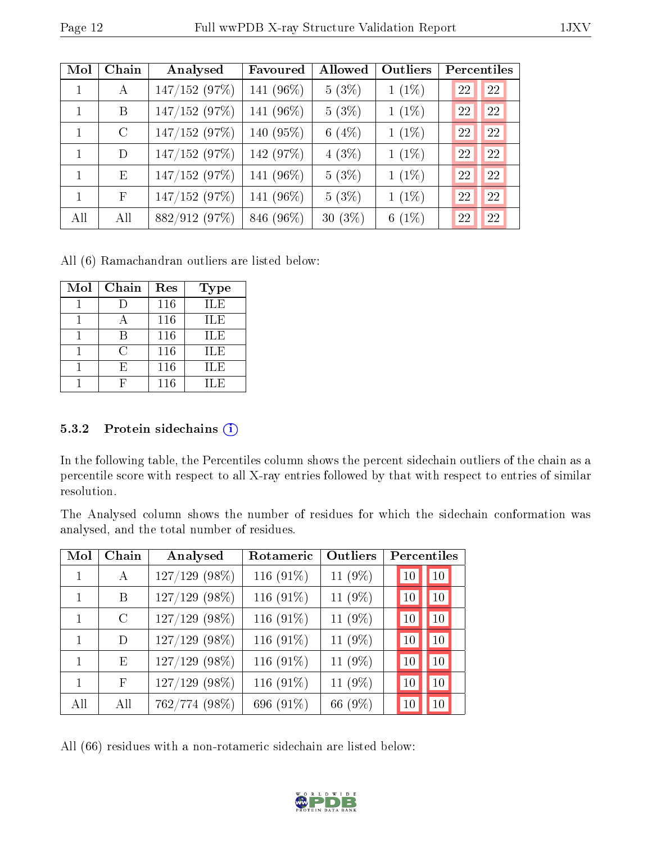| Mol          | Chain         | Analysed      | Favoured   | Allowed   | Outliers | Percentiles |    |
|--------------|---------------|---------------|------------|-----------|----------|-------------|----|
| $\mathbf{1}$ | $\bf{A}$      | 147/152 (97%) | 141 (96%)  | $5(3\%)$  | $1(1\%)$ | 22          | 22 |
| $\mathbf{1}$ | B             | 147/152(97%)  | 141 (96\%) | $5(3\%)$  | $1(1\%)$ | 22          | 22 |
| $\mathbf{1}$ | $\mathcal{C}$ | 147/152(97%)  | 140 (95%)  | 6 $(4%)$  | $1(1\%)$ | 22          | 22 |
| 1            | D             | 147/152 (97%) | 142 (97%)  | 4(3%)     | $1(1\%)$ | 22          | 22 |
| $\mathbf{1}$ | E             | 147/152(97%)  | 141 (96%)  | $5(3\%)$  | $1(1\%)$ | 22          | 22 |
| $\mathbf{1}$ | $\mathbf{F}$  | 147/152(97%)  | 141 (96%)  | $5(3\%)$  | $1(1\%)$ | 22          | 22 |
| All          | All           | 882/912 (97%) | 846 (96%)  | $30(3\%)$ | 6 $(1%)$ | 22          | 22 |

All (6) Ramachandran outliers are listed below:

| Mol | Chain | Res | <b>Type</b> |
|-----|-------|-----|-------------|
|     |       | 116 | <b>ILE</b>  |
|     |       | 116 | ILE         |
|     |       | 116 | <b>ILE</b>  |
|     | C     | 116 | ILE         |
|     | Е.    | 116 | ILE         |
|     |       | 116 | H.E         |

#### 5.3.2 Protein sidechains (i)

In the following table, the Percentiles column shows the percent sidechain outliers of the chain as a percentile score with respect to all X-ray entries followed by that with respect to entries of similar resolution.

The Analysed column shows the number of residues for which the sidechain conformation was analysed, and the total number of residues.

| Mol          | Chain         | Analysed        | Rotameric | Outliers | Percentiles |    |
|--------------|---------------|-----------------|-----------|----------|-------------|----|
|              | A             | $127/129$ (98%) | 116 (91%) | 11 (9%)  | 10          | 10 |
|              | В             | $127/129$ (98%) | 116 (91%) | 11 (9%)  | 10          | 10 |
| $\mathbf{1}$ | $\mathcal{C}$ | $127/129$ (98%) | 116 (91%) | 11 (9%)  | 10          | 10 |
| 1            | D             | $127/129$ (98%) | 116 (91%) | 11 (9%)  | 10          | 10 |
|              | E             | $127/129$ (98%) | 116 (91%) | 11 (9%)  | 10          | 10 |
|              | F             | 127/129 (98%)   | 116 (91%) | 11 (9%)  | 10          | 10 |
| All          | All           | 762/774 (98%)   | 696 (91%) | 66 (9%)  | $10\,$      | 10 |

All (66) residues with a non-rotameric sidechain are listed below:

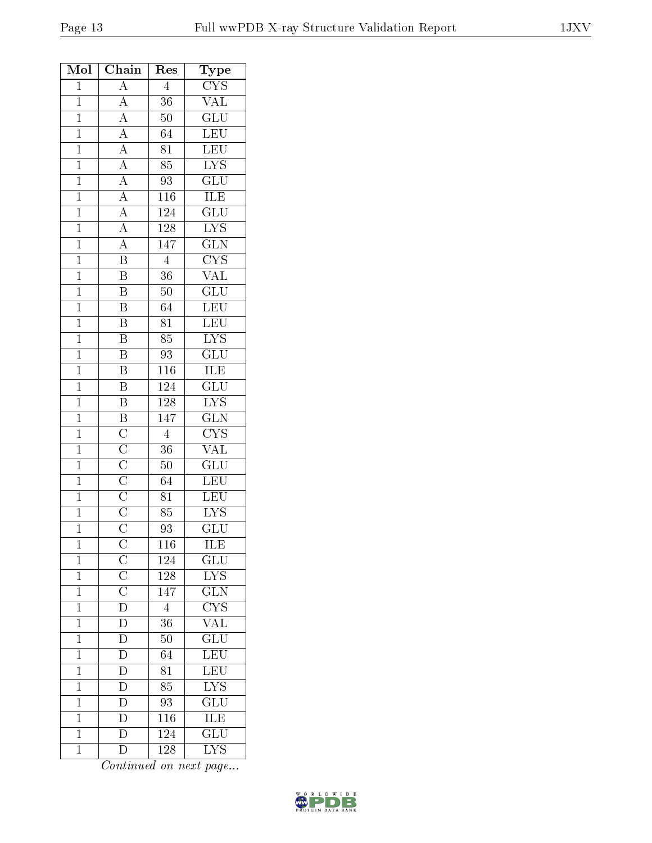| Mol            | Chain                                                                                                                                                                                                                   | Res             | $_{\rm Type}$             |
|----------------|-------------------------------------------------------------------------------------------------------------------------------------------------------------------------------------------------------------------------|-----------------|---------------------------|
| $\overline{1}$ | $\overline{A}$                                                                                                                                                                                                          | $\overline{4}$  | $\overline{\text{CYS}}$   |
| $\overline{1}$ |                                                                                                                                                                                                                         | $\overline{36}$ | <b>VAL</b>                |
| $\mathbf{1}$   |                                                                                                                                                                                                                         | $50\,$          | $\overline{\text{GLU}}$   |
| $\overline{1}$ |                                                                                                                                                                                                                         | $\overline{64}$ | LEU<br>LEU                |
| $\mathbf{1}$   |                                                                                                                                                                                                                         | $\overline{81}$ |                           |
| $\overline{1}$ |                                                                                                                                                                                                                         | $\overline{85}$ | <b>LYS</b>                |
| $\overline{1}$ | $\frac{\overline{A}}{\overline{A}}$ $\frac{\overline{A}}{\overline{A}}$ $\frac{\overline{A}}{\overline{A}}$ $\frac{\overline{A}}{\overline{A}}$ $\frac{\overline{A}}{\overline{A}}$ $\frac{\overline{A}}{\overline{B}}$ | $\overline{93}$ | $\overline{\mathrm{GLU}}$ |
| $\mathbf{1}$   |                                                                                                                                                                                                                         | 116             | <b>ILE</b>                |
| $\mathbf{1}$   |                                                                                                                                                                                                                         | 124             | $\overline{{\rm GLU}}$    |
| $\overline{1}$ |                                                                                                                                                                                                                         | $1\,28$         | $\overline{\text{LYS}}$   |
| $\overline{1}$ |                                                                                                                                                                                                                         | 147             | $\overline{\text{GLN}}$   |
| $\mathbf{1}$   |                                                                                                                                                                                                                         | $\overline{4}$  | $\overline{\text{CYS}}$   |
| $\mathbf{1}$   | $\overline{\mathbf{B}}$                                                                                                                                                                                                 | $\overline{36}$ | $\overline{\text{VAL}}$   |
| $\overline{1}$ | $\overline{\mathbf{B}}$                                                                                                                                                                                                 | $50\,$          | $\overline{\text{GLU}}$   |
| $\mathbf{1}$   | $\overline{B}$                                                                                                                                                                                                          | 64              | $\overline{\text{LEU}}$   |
| $\overline{1}$ | $\overline{\mathbf{B}}$                                                                                                                                                                                                 | $\overline{81}$ | $\overline{\text{LEU}}$   |
| $\mathbf{1}$   | $\boldsymbol{B}$                                                                                                                                                                                                        | 85              | $\overline{\text{LYS}}$   |
| $\overline{1}$ | $\overline{\text{B}}$                                                                                                                                                                                                   | $\overline{93}$ | $\overline{{\rm GLU}}$    |
| $\overline{1}$ | $\overline{B}$                                                                                                                                                                                                          | 116             | <b>ILE</b>                |
| $\overline{1}$ | $\overline{B}$                                                                                                                                                                                                          | 124             | $\overline{{\rm GLU}}$    |
| $\overline{1}$ |                                                                                                                                                                                                                         | <b>128</b>      | $\overline{\text{LYS}}$   |
| $\mathbf{1}$   | $\overline{B}$ $\overline{B}$ $\overline{C}$ $\overline{C}$ $\overline{C}$ $\overline{C}$ $\overline{C}$ $\overline{C}$ $\overline{C}$ $\overline{C}$                                                                   | 147             | $\overline{\text{GLN}}$   |
| $\overline{1}$ |                                                                                                                                                                                                                         | $\overline{4}$  | $\overline{\text{CYS}}$   |
| $\mathbf{1}$   |                                                                                                                                                                                                                         | 36              | $\overline{\text{VAL}}$   |
| $\overline{1}$ |                                                                                                                                                                                                                         | $50\,$          | $\overline{\text{GLU}}$   |
| $\overline{1}$ |                                                                                                                                                                                                                         | 64              | $\overline{\text{LEU}}$   |
| $\mathbf{1}$   |                                                                                                                                                                                                                         | 81              | $\overline{\text{LEU}}$   |
| $\overline{1}$ |                                                                                                                                                                                                                         | $\overline{85}$ | $\overline{\text{LYS}}$   |
| $\overline{1}$ |                                                                                                                                                                                                                         | 93              | $\overline{\text{GLU}}$   |
| $\mathbf 1$    | $\mathcal C$                                                                                                                                                                                                            | 116             | ILE                       |
| $\mathbf 1$    | $\overline{\rm C}$                                                                                                                                                                                                      | 124             | $\overline{{\rm GLU}}$    |
| $\mathbf{1}$   | $\frac{\overline{C}}{\overline{C}}$                                                                                                                                                                                     | 128             | $\overline{\text{LYS}}$   |
| $\overline{1}$ |                                                                                                                                                                                                                         | 147             | GLN                       |
| $\mathbf{1}$   |                                                                                                                                                                                                                         | $\overline{4}$  | $\overline{\text{CYS}}$   |
| $\overline{1}$ | $\overline{D}$                                                                                                                                                                                                          | $\overline{36}$ | $\overline{\text{VAL}}$   |
| $\mathbf{1}$   | $\mathbf{D}$                                                                                                                                                                                                            | $50\,$          | $\overline{\text{GLU}}$   |
| $\mathbf 1$    |                                                                                                                                                                                                                         | 64              | $\overline{\text{LEU}}$   |
| $\mathbf{1}$   | $\frac{\overline{D}}{\overline{D}}$                                                                                                                                                                                     | 81              | LEU                       |
| $\mathbf{1}$   |                                                                                                                                                                                                                         | $\overline{85}$ | $\overline{\text{LYS}}$   |
| $\mathbf{1}$   | $\frac{\overline{D}}{\overline{D}}$                                                                                                                                                                                     | $\overline{93}$ | $\overline{\mathrm{GLU}}$ |
| $\mathbf{1}$   |                                                                                                                                                                                                                         | 116             | $\overline{\text{ILE}}$   |
| $\mathbf{1}$   |                                                                                                                                                                                                                         | 124             | $\overline{\text{GLU}}$   |
| $\mathbf{1}$   | D                                                                                                                                                                                                                       | 128             | $\overline{\text{LYS}}$   |

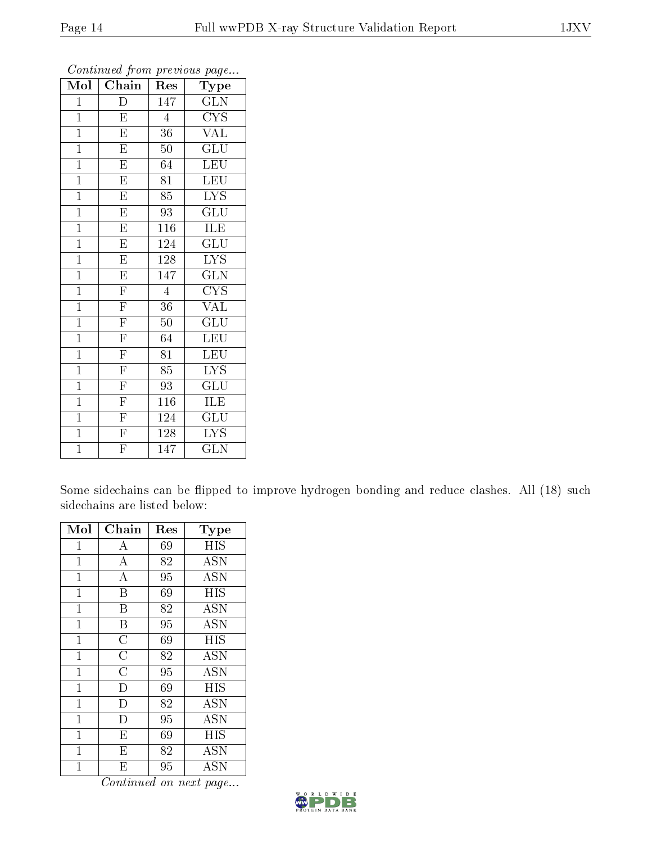| $\overline{\text{Mol}}$ | Chain                   | Res              | $\mathbf{r}$<br>$\sim$<br>Type          |
|-------------------------|-------------------------|------------------|-----------------------------------------|
| $\mathbf{1}$            | D                       | 147              | GLN                                     |
| $\overline{1}$          | $\overline{\mathrm{E}}$ | $\overline{4}$   | $\overline{\text{C} \text{Y} \text{S}}$ |
| $\mathbf{1}$            | $\overline{\mathrm{E}}$ | 36               | <b>VAL</b>                              |
| $\overline{1}$          | $\overline{\mathrm{E}}$ | $50\,$           | GLU                                     |
| $\mathbf{1}$            | $\overline{\mathrm{E}}$ | 64               | LEU                                     |
| $\mathbf{1}$            | $\overline{E}$          | 81               | LEU                                     |
| $\mathbf{1}$            | $\overline{\mathrm{E}}$ | $\overline{85}$  | $\overline{\text{LYS}}$                 |
| $\overline{1}$          | $\overline{\mathrm{E}}$ | 93               | $\overline{{\rm GLU}}$                  |
| $\overline{1}$          | $\overline{\mathrm{E}}$ | $\overline{116}$ | ILE                                     |
| $\mathbf{1}$            | $\overline{\mathrm{E}}$ | 124              | $\overline{\mathrm{GLU}}$               |
| $\mathbf{1}$            | $\overline{\mathrm{E}}$ | 128              | <b>LYS</b>                              |
| $\overline{1}$          | $\overline{\mathrm{E}}$ | 147              | $\overline{{\rm GLN}}$                  |
| $\overline{1}$          | $\overline{\mathrm{F}}$ | $\overline{4}$   | <b>CYS</b>                              |
| $\mathbf{1}$            | $\overline{\mathrm{F}}$ | 36               | $\rm V\overline{AL}$                    |
| $\overline{1}$          | $\overline{\mathrm{F}}$ | $50\,$           | $\overline{\mathrm{GLU}}$               |
| $\mathbf{1}$            | $\overline{\mathrm{F}}$ | 64               | LEU                                     |
| $\mathbf{1}$            | $\overline{F}$          | 81               | $\overline{\text{LEU}}$                 |
| $\mathbf{1}$            | $\overline{\mathrm{F}}$ | 85               | <b>LYS</b>                              |
| $\mathbf{1}$            | $\overline{\mathrm{F}}$ | 93               | $\mathrm{GL} \overline{\mathrm{U}}$     |
| $\overline{1}$          | $\frac{1}{\Gamma}$      | 116              | ILE                                     |
| $\overline{1}$          | $\overline{\mathrm{F}}$ | 124              | $\widetilde{{\rm GLU}}$                 |
| $\overline{1}$          | $\overline{\mathrm{F}}$ | 128              | $\overline{\text{LYS}}$                 |
| $\overline{1}$          | $\overline{\mathrm{F}}$ | 147              | GLN                                     |

Continued from previous page...

Some sidechains can be flipped to improve hydrogen bonding and reduce clashes. All (18) such sidechains are listed below:

| Mol            | Chain                   | $\operatorname{Res}% \left( \mathcal{N}\right) \equiv\operatorname{Res}(\mathcal{N}_{0})\cap\mathcal{N}_{1}$ | Type       |
|----------------|-------------------------|--------------------------------------------------------------------------------------------------------------|------------|
| $\mathbf{1}$   | А                       | 69                                                                                                           | HIS        |
| 1              | А                       | 82                                                                                                           | <b>ASN</b> |
| $\mathbf 1$    | А                       | 95                                                                                                           | <b>ASN</b> |
| $\mathbf{1}$   | B                       | 69                                                                                                           | HIS        |
| $\mathbf 1$    | Β                       | 82                                                                                                           | <b>ASN</b> |
| $\mathbf 1$    | Β                       | 95                                                                                                           | <b>ASN</b> |
| $\mathbf{1}$   | $\overline{C}$          | 69                                                                                                           | HIS        |
| 1              | $\overline{\rm C}$      | 82                                                                                                           | <b>ASN</b> |
| $\mathbf{1}$   | $\overline{C}$          | 95                                                                                                           | <b>ASN</b> |
| $\mathbf 1$    | D                       | 69                                                                                                           | HIS        |
| 1              | $\mathbf{D}$            | 82                                                                                                           | <b>ASN</b> |
| $\mathbf{1}$   | D                       | 95                                                                                                           | <b>ASN</b> |
| $\overline{1}$ | $\overline{\mathrm{E}}$ | 69                                                                                                           | <b>HIS</b> |
| 1              | E                       | 82                                                                                                           | <b>ASN</b> |
| 1              | E                       | 95                                                                                                           | <b>ASN</b> |

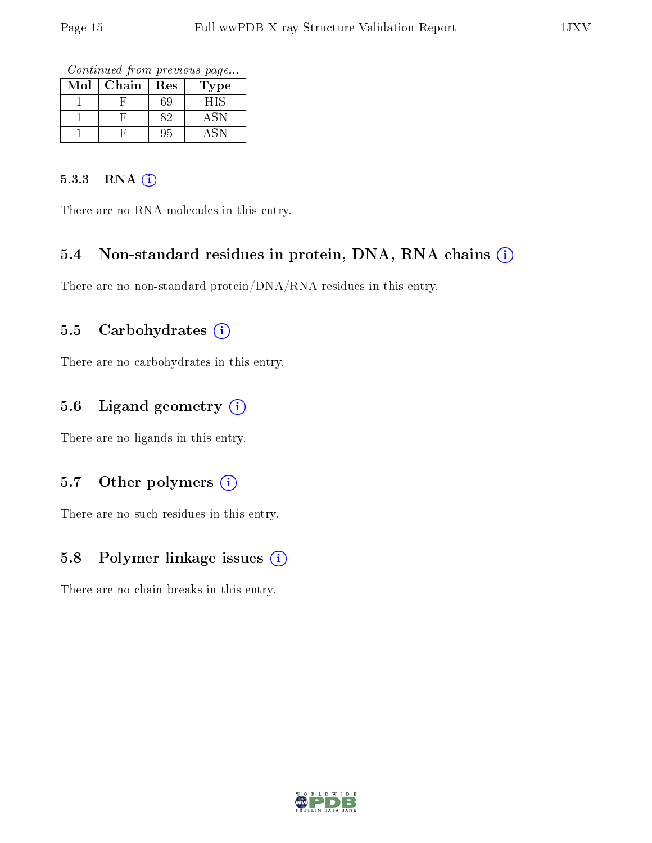Continued from previous page...

| Mol | Chain | Res | Гуре |
|-----|-------|-----|------|
|     |       | ìЧ  | FIS  |
|     |       |     |      |
|     |       | ł.  |      |

#### 5.3.3 RNA [O](https://www.wwpdb.org/validation/2017/XrayValidationReportHelp#rna)i

There are no RNA molecules in this entry.

#### 5.4 Non-standard residues in protein, DNA, RNA chains (i)

There are no non-standard protein/DNA/RNA residues in this entry.

#### 5.5 Carbohydrates (i)

There are no carbohydrates in this entry.

#### 5.6 Ligand geometry (i)

There are no ligands in this entry.

#### 5.7 [O](https://www.wwpdb.org/validation/2017/XrayValidationReportHelp#nonstandard_residues_and_ligands)ther polymers (i)

There are no such residues in this entry.

#### 5.8 Polymer linkage issues (i)

There are no chain breaks in this entry.

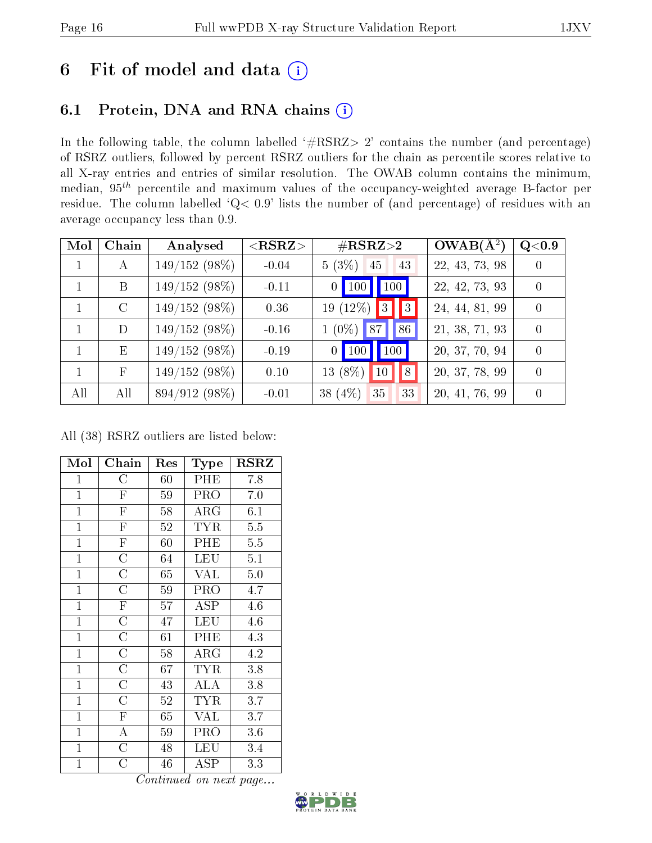### 6 Fit of model and data  $(i)$

#### 6.1 Protein, DNA and RNA chains  $(i)$

In the following table, the column labelled  $#RSRZ> 2'$  contains the number (and percentage) of RSRZ outliers, followed by percent RSRZ outliers for the chain as percentile scores relative to all X-ray entries and entries of similar resolution. The OWAB column contains the minimum, median,  $95<sup>th</sup>$  percentile and maximum values of the occupancy-weighted average B-factor per residue. The column labelled ' $Q< 0.9$ ' lists the number of (and percentage) of residues with an average occupancy less than 0.9.

| Mol | Chain      | Analysed        | $<$ RSRZ $>$ | $\#\text{RSRZ}\text{>2}$            | $OWAB(A^2)$    | $\rm Q\textcolor{black}{<}0.9$ |
|-----|------------|-----------------|--------------|-------------------------------------|----------------|--------------------------------|
|     | А          | $149/152(98\%)$ | $-0.04$      | $5(3\%)$<br>43<br>45                | 22, 43, 73, 98 |                                |
|     | B          | $149/152(98\%)$ | $-0.11$      | 0   100   100                       | 22, 42, 73, 93 | $\theta$                       |
|     | $\rm C$    | $149/152(98\%)$ | 0.36         | $19(12\%)$ 3<br>$\sqrt{3}$          | 24, 44, 81, 99 | $\Omega$                       |
|     | D          | $149/152(98\%)$ | $-0.16$      | $1(0\%)$ 87<br>86                   | 21, 38, 71, 93 | $\Omega$                       |
|     | E          | $149/152(98\%)$ | $-0.19$      | 0   100   100                       | 20, 37, 70, 94 | $\Omega$                       |
|     | $_{\rm F}$ | $149/152(98\%)$ | 0.10         | $13(8\%)$<br>$\vert 10 \vert$<br> 8 | 20, 37, 78, 99 | $\Omega$                       |
| All | All        | 894/912 (98%)   | $-0.01$      | 38 $(4%)$<br>35<br>33               | 20, 41, 76, 99 |                                |

All (38) RSRZ outliers are listed below:

| Mol            | Chain                   | Res | Type                    | <b>RSRZ</b> |
|----------------|-------------------------|-----|-------------------------|-------------|
| $\mathbf{1}$   | $\overline{\rm C}$      | 60  | PHE                     | 7.8         |
| $\mathbf{1}$   | $\overline{\mathrm{F}}$ | 59  | PRO                     | 7.0         |
| $\mathbf{1}$   | $\overline{\mathrm{F}}$ | 58  | $\rm{ARG}$              | 6.1         |
| $\mathbf{1}$   | $\overline{\mathrm{F}}$ | 52  | <b>TYR</b>              | 5.5         |
| $\mathbf{1}$   | $\overline{\mathrm{F}}$ | 60  | PHE                     | 5.5         |
| $\overline{1}$ | $\overline{\rm C}$      | 64  | LEU                     | 5.1         |
| $\overline{1}$ | $\overline{\rm C}$      | 65  | $\overline{\text{VAL}}$ | 5.0         |
| $\overline{1}$ | $\overline{\rm C}$      | 59  | PRO                     | 4.7         |
| $\mathbf{1}$   | $\mathbf F$             | 57  | <b>ASP</b>              | 4.6         |
| $\mathbf{1}$   | $\overline{\rm C}$      | 47  | LEU                     | 4.6         |
| $\mathbf{1}$   | $\overline{\rm C}$      | 61  | PHE                     | 4.3         |
| $\mathbf{1}$   | $\overline{\rm C}$      | 58  | $\rm{ARG}$              | 4.2         |
| $\mathbf{1}$   | $\overline{\rm C}$      | 67  | <b>TYR</b>              | 3.8         |
| $\overline{1}$ | $\overline{\rm C}$      | 43  | <b>ALA</b>              | 3.8         |
| $\mathbf{1}$   | $\overline{\rm C}$      | 52  | <b>TYR</b>              | 3.7         |
| $\mathbf{1}$   | $\mathbf F$             | 65  | <b>VAL</b>              | 3.7         |
| $\mathbf{1}$   | A                       | 59  | PRO                     | 3.6         |
| $\mathbf{1}$   | $\overline{C}$          | 48  | <b>LEU</b>              | 3.4         |
| $\mathbf 1$    | C                       | 46  | ${\rm ASP}$             | 3.3         |